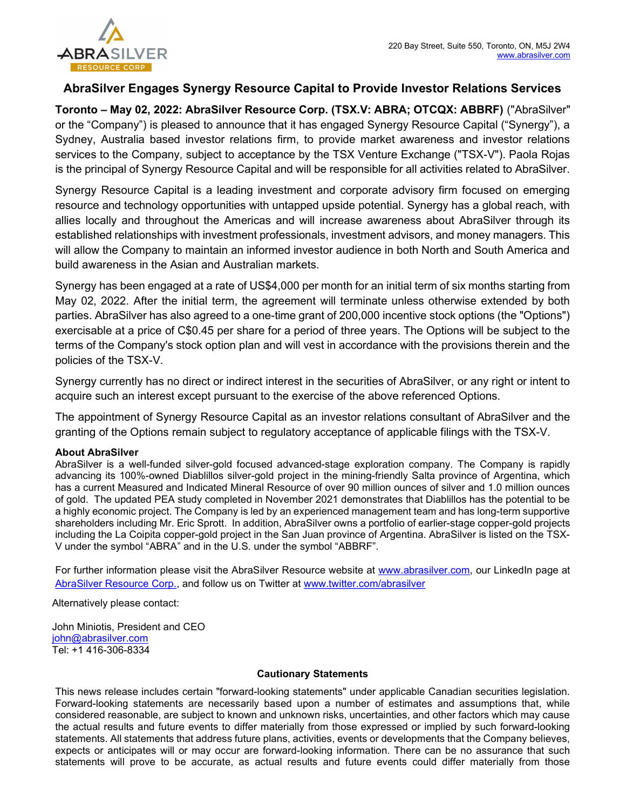

## AbraSilver Engages Synergy Resource Capital to Provide Investor Relations Services

Toronto – May 02, 2022: AbraSilver Resource Corp. (TSX.V: ABRA; OTCQX: ABBRF) ("AbraSilver" or the "Company") is pleased to announce that it has engaged Synergy Resource Capital ("Synergy"), a Sydney, Australia based investor relations firm, to provide market awareness and investor relations services to the Company, subject to acceptance by the TSX Venture Exchange ("TSX-V"). Paola Rojas is the principal of Synergy Resource Capital and will be responsible for all activities related to AbraSilver.

Synergy Resource Capital is a leading investment and corporate advisory firm focused on emerging resource and technology opportunities with untapped upside potential. Synergy has a global reach, with allies locally and throughout the Americas and will increase awareness about AbraSilver through its established relationships with investment professionals, investment advisors, and money managers. This will allow the Company to maintain an informed investor audience in both North and South America and build awareness in the Asian and Australian markets.

Synergy has been engaged at a rate of US\$4,000 per month for an initial term of six months starting from May 02, 2022. After the initial term, the agreement will terminate unless otherwise extended by both parties. AbraSilver has also agreed to a one-time grant of 200,000 incentive stock options (the "Options") exercisable at a price of C\$0.45 per share for a period of three years. The Options will be subject to the terms of the Company's stock option plan and will vest in accordance with the provisions therein and the policies of the TSX-V.

Synergy currently has no direct or indirect interest in the securities of AbraSilver, or any right or intent to acquire such an interest except pursuant to the exercise of the above referenced Options.

The appointment of Synergy Resource Capital as an investor relations consultant of AbraSilver and the granting of the Options remain subject to regulatory acceptance of applicable filings with the TSX-V.

## About AbraSilver

AbraSilver is a well-funded silver-gold focused advanced-stage exploration company. The Company is rapidly advancing its 100%-owned Diablillos silver-gold project in the mining-friendly Salta province of Argentina, which has a current Measured and Indicated Mineral Resource of over 90 million ounces of silver and 1.0 million ounces of gold. The updated PEA study completed in November 2021 demonstrates that Diablillos has the potential to be a highly economic project. The Company is led by an experienced management team and has long-term supportive shareholders including Mr. Eric Sprott. In addition, AbraSilver owns a portfolio of earlier-stage copper-gold projects including the La Coipita copper-gold project in the San Juan province of Argentina. AbraSilver is listed on the TSX-V under the symbol "ABRA" and in the U.S. under the symbol "ABBRF".

For further information please visit the AbraSilver Resource website at www.abrasilver.com, our LinkedIn page at AbraSilver Resource Corp., and follow us on Twitter at www.twitter.com/abrasilver

Alternatively please contact:

John Miniotis, President and CEO john@abrasilver.com Tel: +1 416-306-8334

## Cautionary Statements

This news release includes certain "forward-looking statements" under applicable Canadian securities legislation. Forward-looking statements are necessarily based upon a number of estimates and assumptions that, while considered reasonable, are subject to known and unknown risks, uncertainties, and other factors which may cause the actual results and future events to differ materially from those expressed or implied by such forward-looking statements. All statements that address future plans, activities, events or developments that the Company believes, expects or anticipates will or may occur are forward-looking information. There can be no assurance that such statements will prove to be accurate, as actual results and future events could differ materially from those